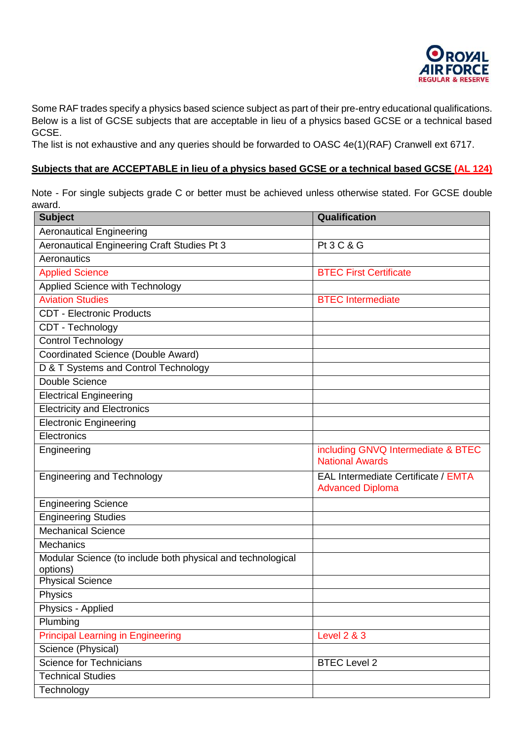

Some RAF trades specify a physics based science subject as part of their pre-entry educational qualifications. Below is a list of GCSE subjects that are acceptable in lieu of a physics based GCSE or a technical based GCSE.

The list is not exhaustive and any queries should be forwarded to OASC 4e(1)(RAF) Cranwell ext 6717.

## **Subjects that are ACCEPTABLE in lieu of a physics based GCSE or a technical based GCSE (AL 124)**

Note - For single subjects grade C or better must be achieved unless otherwise stated. For GCSE double award.

| <b>Subject</b>                                                          | Qualification                                                  |  |
|-------------------------------------------------------------------------|----------------------------------------------------------------|--|
| <b>Aeronautical Engineering</b>                                         |                                                                |  |
| Aeronautical Engineering Craft Studies Pt 3                             | <b>Pt 3 C &amp; G</b>                                          |  |
| Aeronautics                                                             |                                                                |  |
| <b>Applied Science</b>                                                  | <b>BTEC First Certificate</b>                                  |  |
| Applied Science with Technology                                         |                                                                |  |
| <b>Aviation Studies</b>                                                 | <b>BTEC Intermediate</b>                                       |  |
| <b>CDT - Electronic Products</b>                                        |                                                                |  |
| CDT - Technology                                                        |                                                                |  |
| <b>Control Technology</b>                                               |                                                                |  |
| Coordinated Science (Double Award)                                      |                                                                |  |
| D & T Systems and Control Technology                                    |                                                                |  |
| Double Science                                                          |                                                                |  |
| <b>Electrical Engineering</b>                                           |                                                                |  |
| <b>Electricity and Electronics</b>                                      |                                                                |  |
| <b>Electronic Engineering</b>                                           |                                                                |  |
| Electronics                                                             |                                                                |  |
| Engineering                                                             | including GNVQ Intermediate & BTEC<br><b>National Awards</b>   |  |
| <b>Engineering and Technology</b>                                       | EAL Intermediate Certificate / EMTA<br><b>Advanced Diploma</b> |  |
| <b>Engineering Science</b>                                              |                                                                |  |
| <b>Engineering Studies</b>                                              |                                                                |  |
| <b>Mechanical Science</b>                                               |                                                                |  |
| <b>Mechanics</b>                                                        |                                                                |  |
| Modular Science (to include both physical and technological<br>options) |                                                                |  |
| <b>Physical Science</b>                                                 |                                                                |  |
| Physics                                                                 |                                                                |  |
| Physics - Applied                                                       |                                                                |  |
| Plumbing                                                                |                                                                |  |
| <b>Principal Learning in Engineering</b>                                | <b>Level 2 &amp; 3</b>                                         |  |
| Science (Physical)                                                      |                                                                |  |
| <b>Science for Technicians</b>                                          | <b>BTEC Level 2</b>                                            |  |
| <b>Technical Studies</b>                                                |                                                                |  |
| Technology                                                              |                                                                |  |